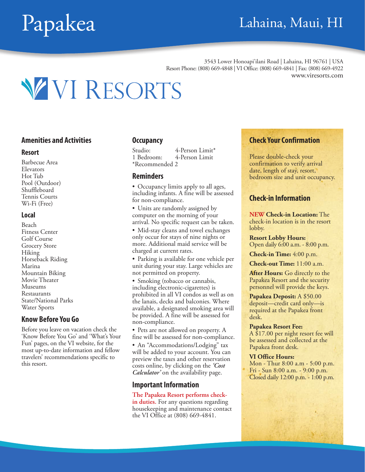### Papakea Lahaina, Maui, HI

3543 Lower Honoapi'ilani Road | Lahaina, HI 96761 | USA Resort Phone: (808) 669-4848 | VI Office: (808) 669-4841 | Fax: (808) 669-4922 www.viresorts.com



#### **Amenities and Activities**

#### **Resort**

Barbecue Area Elevators Hot Tub Pool (Outdoor) Shuffleboard Tennis Courts Wi-Fi (Free)

#### **Local**

Beach Fitness Center Golf Course Grocery Store Hiking Horseback Riding Marina Mountain Biking Movie Theater Museums Restaurants State/National Parks Water Sports

#### **Know Before You Go**

Before you leave on vacation check the 'Know Before You Go' and 'What's Your Fun' pages, on the VI website, for the most up-to-date information and fellow travelers' recommendations specific to this resort.

#### **Occupancy**

Studio: 4-Person Limit<sup>\*</sup><br>1 Bedroom: 4-Person Limit 4-Person Limit \*Recommended 2

#### **Reminders**

• Occupancy limits apply to all ages, including infants. A fine will be assessed for non-compliance.

• Units are randomly assigned by computer on the morning of your arrival. No specific request can be taken.

• Mid-stay cleans and towel exchanges only occur for stays of nine nights or more. Additional maid service will be charged at current rates.

• Parking is available for one vehicle per unit during your stay. Large vehicles are not permitted on property.

• Smoking (tobacco or cannabis, including electronic-cigarettes) is prohibited in all VI condos as well as on the lanais, decks and balconies. Where available, a designated smoking area will be provided. A fine will be assessed for non-compliance.

• Pets are not allowed on property. A fine will be assessed for non-compliance.

• An "Accommodations/Lodging" tax will be added to your account. You can preview the taxes and other reservation costs online, by clicking on the *'Cost Calculator'* on the availability page.

#### **Important Information**

#### **The Papakea Resort performs check-**

**in duties.** For any questions regarding housekeeping and maintenance contact the VI Office at (808) 669-4841.

### **Check Your Confirmation**

Please double-check your confirmation to verify arrival date, length of stay, resort, bedroom size and unit occupancy.

#### **Check-in Information**

**NEW Check-in Location:** The check-in location is in the resort lobby.

**Resort Lobby Hours:** Open daily 6:00 a.m. - 8:00 p.m.

**Check-in Time:** 4:00 p.m.

**Check-out Time:** 11:00 a.m.

**After Hours:** Go directly to the Papakea Resort and the security personnel will provide the keys.

**Papakea Deposit:** A \$50.00 deposit—credit card only—is required at the Papakea front desk.

#### **Papakea Resort Fee:**

A \$17.00 per night resort fee will be assessed and collected at the Papakea front desk.

#### **VI Office Hours:**

Mon - Thur 8:00 a.m - 5:00 p.m. Fri - Sun 8:00 a.m. - 9:00 p.m. Closed daily 12:00 p.m. - 1:00 p.m.